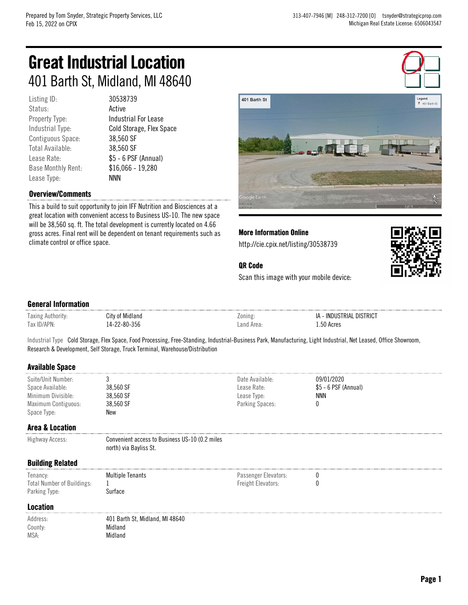# Great Industrial Location 401 Barth St, Midland, MI 48640

Listing ID: 30538739 Status: **Active** Contiguous Space: 38,560 SF Total Available: 38,560 SF Base Monthly Rent: \$16,066 - 19,280 Lease Type: NNN

Property Type: Industrial For Lease Industrial Type: Cold Storage, Flex Space Lease Rate:  $$5 - 6$  PSF (Annual)

## Overview/Comments

This a build to suit opportunity to join IFF Nutrition and Biosciences at a great location with convenient access to Business US-10. The new space will be 38,560 sq. ft. The total development is currently located on 4.66 gross acres. Final rent will be dependent on tenant requirements such as climate control or office space.



More Information Online

http://cie.cpix.net/listing/30538739



## QR Code

Scan this image with your mobile device:

#### General Information

| $\overline{\phantom{a}}$<br>Taxing | utv<br>Midiand                                    | ∠onınr | . DISTRICT<br>INDI.<br>RIA.<br>IΑ |
|------------------------------------|---------------------------------------------------|--------|-----------------------------------|
| 2Y                                 | nn<br>∘o∩<br>კეხ<br>-^''<br>$\mathbf{u}$<br>- - - | . anr  | Acro<br>. .<br>чсте.<br>.         |

Industrial Type Cold Storage, Flex Space, Food Processing, Free-Standing, Industrial-Business Park, Manufacturing, Light Industrial, Net Leased, Office Showroom, Research & Development, Self Storage, Truck Terminal, Warehouse/Distribution

#### Available Space

| Suite/Unit Number:<br>Space Available: | 38,560 SF                                                                | Date Available:<br>Lease Rate: | 09/01/2020<br>$$5 - 6$ PSF (Annual) |  |  |
|----------------------------------------|--------------------------------------------------------------------------|--------------------------------|-------------------------------------|--|--|
| Minimum Divisible:                     | 38,560 SF                                                                | Lease Type:                    | NNN                                 |  |  |
| Maximum Contiguous:                    | 38,560 SF                                                                | Parking Spaces:                |                                     |  |  |
| Space Type:                            | <b>New</b>                                                               |                                |                                     |  |  |
| Area & Location                        |                                                                          |                                |                                     |  |  |
| Highway Access:                        | Convenient access to Business US-10 (0.2 miles<br>north) via Bayliss St. |                                |                                     |  |  |
| <b>Building Related</b>                |                                                                          |                                |                                     |  |  |
| Tenancy:                               | <b>Multiple Tenants</b>                                                  | Passenger Elevators:           |                                     |  |  |
| <b>Total Number of Buildings:</b>      |                                                                          | Freight Elevators:             |                                     |  |  |
| Parking Type:                          | Surface                                                                  |                                |                                     |  |  |
| Location                               |                                                                          |                                |                                     |  |  |
| Address:                               | 401 Barth St, Midland, MI 48640                                          |                                |                                     |  |  |
| County:                                | Midland                                                                  |                                |                                     |  |  |

MSA: Midland